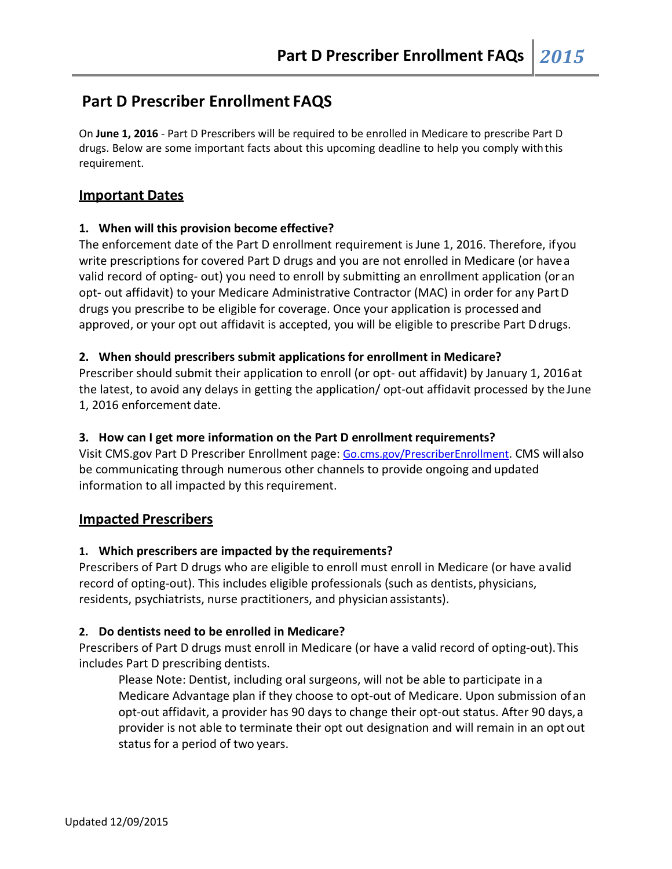# **Part D Prescriber Enrollment FAQS**

On **June 1, 2016** - Part D Prescribers will be required to be enrolled in Medicare to prescribe Part D drugs. Below are some important facts about this upcoming deadline to help you comply withthis requirement.

# **Important Dates**

### **1. When will this provision become effective?**

The enforcement date of the Part D enrollment requirement is June 1, 2016. Therefore, ifyou write prescriptions for covered Part D drugs and you are not enrolled in Medicare (or havea valid record of opting- out) you need to enroll by submitting an enrollment application (or an opt- out affidavit) to your Medicare Administrative Contractor (MAC) in order for any PartD drugs you prescribe to be eligible for coverage. Once your application is processed and approved, or your opt out affidavit is accepted, you will be eligible to prescribe Part Ddrugs.

### **2. When should prescribers submit applications for enrollment in Medicare?**

Prescriber should submit their application to enroll (or opt- out affidavit) by January 1, 2016at the latest, to avoid any delays in getting the application/ opt-out affidavit processed by theJune 1, 2016 enforcement date.

### **3. How can I get more information on the Part D enrollment requirements?**

Visit CMS.gov Part D Prescriber Enrollment page: Go.cms.gov/PrescriberEnrollment. CMS willalso be communicating through numerous other channels to provide ongoing and updated information to all impacted by this requirement.

# **Impacted Prescribers**

### **1. Which prescribers are impacted by the requirements?**

Prescribers of Part D drugs who are eligible to enroll must enroll in Medicare (or have avalid record of opting-out). This includes eligible professionals (such as dentists, physicians, residents, psychiatrists, nurse practitioners, and physician assistants).

### **2. Do dentists need to be enrolled in Medicare?**

Prescribers of Part D drugs must enroll in Medicare (or have a valid record of opting-out).This includes Part D prescribing dentists.

Please Note: Dentist, including oral surgeons, will not be able to participate in a Medicare Advantage plan if they choose to opt-out of Medicare. Upon submission of an opt-out affidavit, a provider has 90 days to change their opt-out status. After 90 days,a provider is not able to terminate their opt out designation and will remain in an opt out status for a period of two years.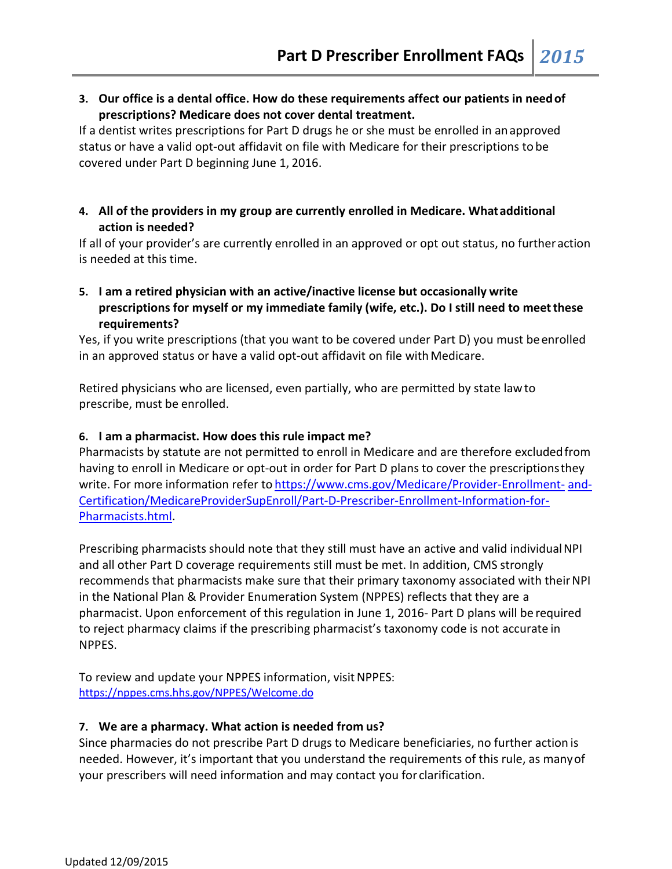**3. Our office is a dental office. How do these requirements affect our patients in needof prescriptions? Medicare does not cover dental treatment.**

If a dentist writes prescriptions for Part D drugs he or she must be enrolled in anapproved status or have a valid opt-out affidavit on file with Medicare for their prescriptions to be covered under Part D beginning June 1, 2016.

**4. All of the providers in my group are currently enrolled in Medicare. Whatadditional action is needed?**

If all of your provider's are currently enrolled in an approved or opt out status, no furtheraction is needed at this time.

**5. I am a retired physician with an active/inactive license but occasionally write prescriptions for myself or my immediate family (wife, etc.). Do I still need to meetthese requirements?**

Yes, if you write prescriptions (that you want to be covered under Part D) you must beenrolled in an approved status or have a valid opt-out affidavit on file with Medicare.

Retired physicians who are licensed, even partially, who are permitted by state lawto prescribe, must be enrolled.

# **6. I am a pharmacist. How does this rule impact me?**

Pharmacists by statute are not permitted to enroll in Medicare and are therefore excludedfrom having to enroll in Medicare or opt-out in order for Part D plans to cover the prescriptionsthey write. For more information refer to [https://www.cms.gov/Medicare/Provider-Enrollment-](https://www.cms.gov/Medicare/Provider-Enrollment-and-Certification/MedicareProviderSupEnroll/Part-D-Prescriber-Enrollment-Information-for-Pharmacists.html) [and-](https://www.cms.gov/Medicare/Provider-Enrollment-and-Certification/MedicareProviderSupEnroll/Part-D-Prescriber-Enrollment-Information-for-Pharmacists.html)[Certification/MedicareProviderSupEnroll/Part-D-Prescriber-Enrollment-Information-for-](https://www.cms.gov/Medicare/Provider-Enrollment-and-Certification/MedicareProviderSupEnroll/Part-D-Prescriber-Enrollment-Information-for-Pharmacists.html)[Pharmacists.html.](https://www.cms.gov/Medicare/Provider-Enrollment-and-Certification/MedicareProviderSupEnroll/Part-D-Prescriber-Enrollment-Information-for-Pharmacists.html)

Prescribing pharmacists should note that they still must have an active and valid individualNPI and all other Part D coverage requirements still must be met. In addition, CMS strongly recommends that pharmacists make sure that their primary taxonomy associated with theirNPI in the National Plan & Provider Enumeration System (NPPES) reflects that they are a pharmacist. Upon enforcement of this regulation in June 1, 2016- Part D plans will be required to reject pharmacy claims if the prescribing pharmacist's taxonomy code is not accurate in NPPES.

To review and update your NPPES information, visitNPPES: <https://nppes.cms.hhs.gov/NPPES/Welcome.do>

### **7. We are a pharmacy. What action is needed from us?**

Since pharmacies do not prescribe Part D drugs to Medicare beneficiaries, no further action is needed. However, it's important that you understand the requirements of this rule, as manyof your prescribers will need information and may contact you for clarification.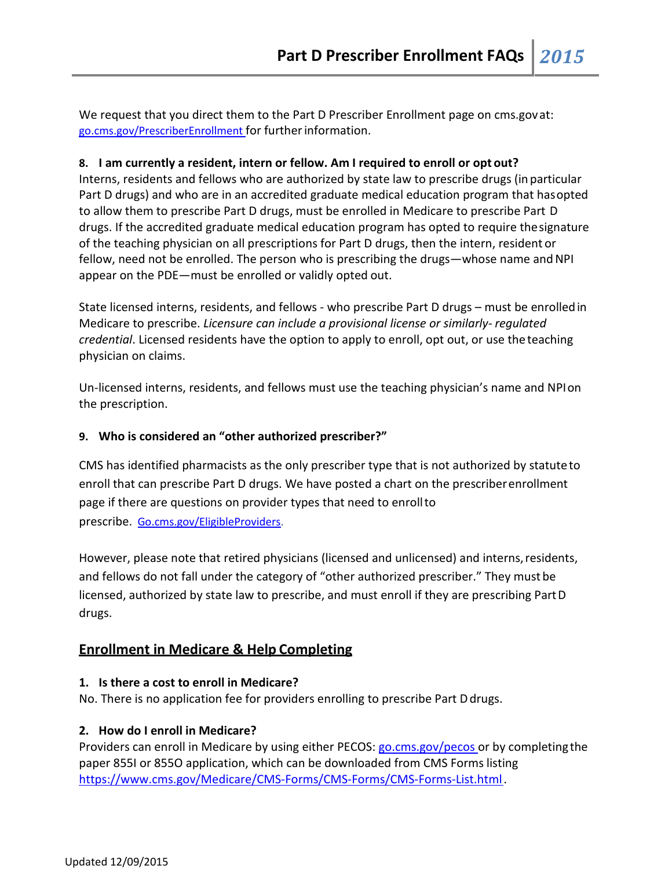We request that you direct them to the Part D Prescriber Enrollment page on cms.govat: go.cms.gov/PrescriberEnrollment for furtherinformation.

# **8. I am currently a resident, intern or fellow. Am I required to enroll or opt out?**

Interns, residents and fellows who are authorized by state law to prescribe drugs (inparticular Part D drugs) and who are in an accredited graduate medical education program that hasopted to allow them to prescribe Part D drugs, must be enrolled in Medicare to prescribe Part D drugs. If the accredited graduate medical education program has opted to require thesignature of the teaching physician on all prescriptions for Part D drugs, then the intern, resident or fellow, need not be enrolled. The person who is prescribing the drugs—whose name and NPI appear on the PDE—must be enrolled or validly opted out.

State licensed interns, residents, and fellows - who prescribe Part D drugs – must be enrolledin Medicare to prescribe. *Licensure can include a provisional license or similarly- regulated credential*. Licensed residents have the option to apply to enroll, opt out, or use the teaching physician on claims.

Un-licensed interns, residents, and fellows must use the teaching physician's name and NPIon the prescription.

# **9. Who is considered an "other authorized prescriber?"**

CMS has identified pharmacists as the only prescriber type that is not authorized by statuteto enroll that can prescribe Part D drugs. We have posted a chart on the prescriberenrollment page if there are questions on provider types that need to enrollto prescribe. [Go.cms.gov/EligibleProviders.](https://www.cms.gov/Medicare/Provider-Enrollment-and-Certification/MedicareProviderSupEnroll/Downloads/Enrollment_Eligibility_Reference_Table.pdf)

However, please note that retired physicians (licensed and unlicensed) and interns, residents, and fellows do not fall under the category of "other authorized prescriber." They must be licensed, authorized by state law to prescribe, and must enroll if they are prescribing PartD drugs.

# **Enrollment in Medicare & Help Completing**

# **1. Is there a cost to enroll in Medicare?**

No. There is no application fee for providers enrolling to prescribe Part Ddrugs.

# **2. How do I enroll in Medicare?**

Providers can enroll in Medicare by using either PECOS: go.cms.gov/pecos or by completing the paper 855I or 855O application, which can be downloaded from CMS Forms listing [https://www.cms.gov/Medicare/CMS-Forms/CMS-Forms/CMS-Forms-List.html.](https://www.cms.gov/Medicare/CMS-Forms/CMS-Forms/CMS-Forms-List.html)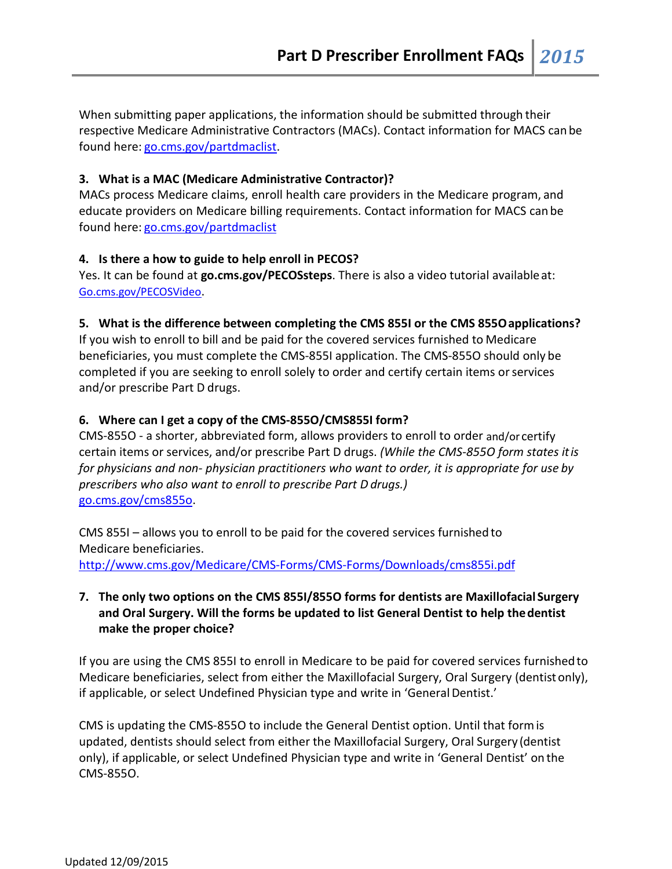When submitting paper applications, the information should be submitted through their respective Medicare Administrative Contractors (MACs). Contact information for MACS can be found here: [go.cms.gov/partdmaclist.](http://go.cms.gov/partdmaclist)

### **3. What is a MAC (Medicare Administrative Contractor)?**

MACs process Medicare claims, enroll health care providers in the Medicare program, and educate providers on Medicare billing requirements. Contact information for MACS can be found here: [go.cms.gov/partdmaclist](http://go.cms.gov/partdmaclist)

#### **4. Is there a how to guide to help enroll in PECOS?**

Yes. It can be found at **go.cms.gov/PECOSsteps**. There is also a video tutorial availableat: Go.cms.gov/PECOSVideo.

#### **5. What is the difference between completing the CMS 855I or the CMS 855Oapplications?**

If you wish to enroll to bill and be paid for the covered services furnished to Medicare beneficiaries, you must complete the CMS-855I application. The CMS-855O should only be completed if you are seeking to enroll solely to order and certify certain items orservices and/or prescribe Part D drugs.

#### **6. Where can I get a copy of the CMS-855O/CMS855I form?**

CMS-855O - a shorter, abbreviated form, allows providers to enroll to order and/or certify certain items or services, and/or prescribe Part D drugs. *(While the CMS-855O form states itis for physicians and non- physician practitioners who want to order, it is appropriate for use by prescribers who also want to enroll to prescribe Part D drugs.)* go.cms.gov/cms855o.

CMS 855I – allows you to enroll to be paid for the covered services furnished to Medicare beneficiaries. <http://www.cms.gov/Medicare/CMS-Forms/CMS-Forms/Downloads/cms855i.pdf>

# **7. The only two options on the CMS 855I/855O forms for dentists are Maxillofacial Surgery and Oral Surgery. Will the forms be updated to list General Dentist to help thedentist make the proper choice?**

If you are using the CMS 855I to enroll in Medicare to be paid for covered services furnishedto Medicare beneficiaries, select from either the Maxillofacial Surgery, Oral Surgery (dentistonly), if applicable, or select Undefined Physician type and write in 'General Dentist.'

CMS is updating the CMS-855O to include the General Dentist option. Until that formis updated, dentists should select from either the Maxillofacial Surgery, Oral Surgery (dentist only), if applicable, or select Undefined Physician type and write in 'General Dentist' on the CMS-855O.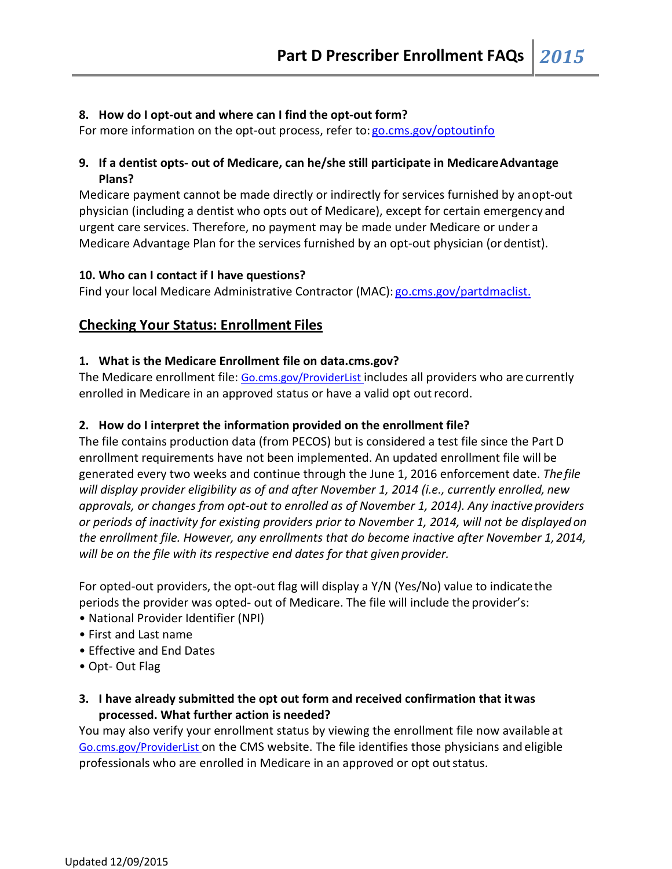### **8. How do I opt-out and where can I find the opt-out form?**

For more information on the opt-out process, refer to: go.cms.gov/optoutinfo

# **9. If a dentist opts- out of Medicare, can he/she still participate in MedicareAdvantage Plans?**

Medicare payment cannot be made directly or indirectly for services furnished by anopt-out physician (including a dentist who opts out of Medicare), except for certain emergency and urgent care services. Therefore, no payment may be made under Medicare or under a Medicare Advantage Plan for the services furnished by an opt-out physician (ordentist).

### **10. Who can I contact if I have questions?**

Find your local Medicare Administrative Contractor (MAC): [go.cms.gov/partdmaclist.](http://go.cms.gov/partdmaclist)

# **Checking Your Status: Enrollment Files**

### **1. What is the Medicare Enrollment file on data.cms.gov?**

The Medicare enrollment file: Go.cms.gov/ProviderList includes all providers who are currently enrolled in Medicare in an approved status or have a valid opt outrecord.

### **2. How do I interpret the information provided on the enrollment file?**

The file contains production data (from PECOS) but is considered a test file since the PartD enrollment requirements have not been implemented. An updated enrollment file will be generated every two weeks and continue through the June 1, 2016 enforcement date. *Thefile will display provider eligibility as of and after November 1, 2014 (i.e., currently enrolled, new approvals, or changes from opt-out to enrolled as of November 1, 2014). Any inactive providers or periods of inactivity for existing providers prior to November 1, 2014, will not be displayedon the enrollment file. However, any enrollments that do become inactive after November 1,2014, will be on the file with its respective end dates for that given provider.*

For opted-out providers, the opt-out flag will display a Y/N (Yes/No) value to indicatethe periods the provider was opted- out of Medicare. The file will include the provider's:

- National Provider Identifier (NPI)
- First and Last name
- Effective and End Dates
- Opt- Out Flag
- **3. I have already submitted the opt out form and received confirmation that itwas processed. What further action is needed?**

You may also verify your enrollment status by viewing the enrollment file now available at Go.cms.gov/ProviderList on the CMS website. The file identifies those physicians and eligible professionals who are enrolled in Medicare in an approved or opt outstatus.